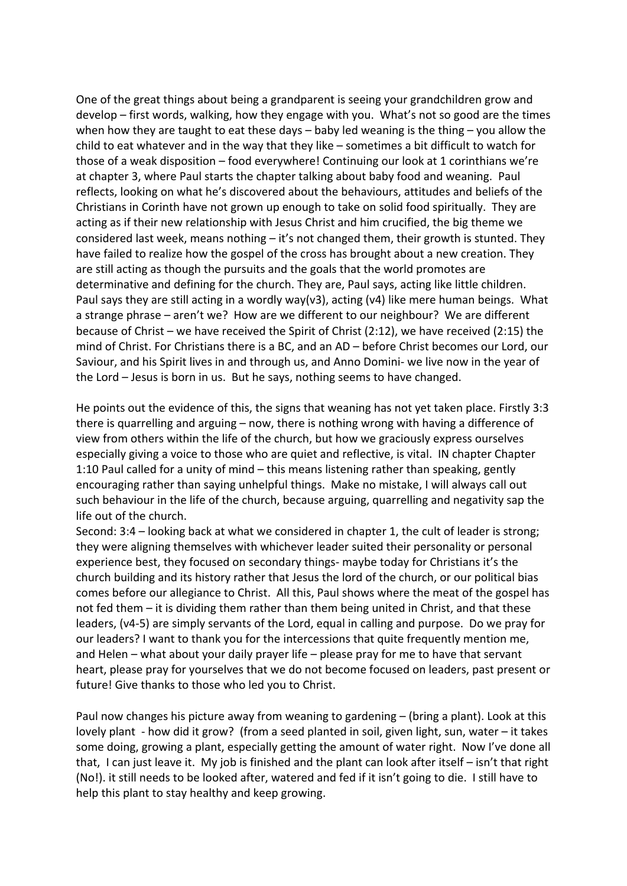One of the great things about being a grandparent is seeing your grandchildren grow and develop – first words, walking, how they engage with you. What's not so good are the times when how they are taught to eat these days – baby led weaning is the thing – you allow the child to eat whatever and in the way that they like – sometimes a bit difficult to watch for those of a weak disposition – food everywhere! Continuing our look at 1 corinthians we're at chapter 3, where Paul starts the chapter talking about baby food and weaning. Paul reflects, looking on what he's discovered about the behaviours, attitudes and beliefs of the Christians in Corinth have not grown up enough to take on solid food spiritually. They are acting as if their new relationship with Jesus Christ and him crucified, the big theme we considered last week, means nothing – it's not changed them, their growth is stunted. They have failed to realize how the gospel of the cross has brought about a new creation. They are still acting as though the pursuits and the goals that the world promotes are determinative and defining for the church. They are, Paul says, acting like little children. Paul says they are still acting in a wordly way( $v3$ ), acting ( $v4$ ) like mere human beings. What a strange phrase – aren't we? How are we different to our neighbour? We are different because of Christ – we have received the Spirit of Christ (2:12), we have received (2:15) the mind of Christ. For Christians there is a BC, and an AD – before Christ becomes our Lord, our Saviour, and his Spirit lives in and through us, and Anno Domini- we live now in the year of the Lord – Jesus is born in us. But he says, nothing seems to have changed.

He points out the evidence of this, the signs that weaning has not yet taken place. Firstly 3:3 there is quarrelling and arguing – now, there is nothing wrong with having a difference of view from others within the life of the church, but how we graciously express ourselves especially giving a voice to those who are quiet and reflective, is vital. IN chapter Chapter 1:10 Paul called for a unity of mind – this means listening rather than speaking, gently encouraging rather than saying unhelpful things. Make no mistake, I will always call out such behaviour in the life of the church, because arguing, quarrelling and negativity sap the life out of the church.

Second: 3:4 – looking back at what we considered in chapter 1, the cult of leader is strong; they were aligning themselves with whichever leader suited their personality or personal experience best, they focused on secondary things- maybe today for Christians it's the church building and its history rather that Jesus the lord of the church, or our political bias comes before our allegiance to Christ. All this, Paul shows where the meat of the gospel has not fed them – it is dividing them rather than them being united in Christ, and that these leaders, (v4-5) are simply servants of the Lord, equal in calling and purpose. Do we pray for our leaders? I want to thank you for the intercessions that quite frequently mention me, and Helen – what about your daily prayer life – please pray for me to have that servant heart, please pray for yourselves that we do not become focused on leaders, past present or future! Give thanks to those who led you to Christ.

Paul now changes his picture away from weaning to gardening  $-$  (bring a plant). Look at this lovely plant - how did it grow? (from a seed planted in soil, given light, sun, water – it takes some doing, growing a plant, especially getting the amount of water right. Now I've done all that, I can just leave it. My job is finished and the plant can look after itself – isn't that right (No!). it still needs to be looked after, watered and fed if it isn't going to die. I still have to help this plant to stay healthy and keep growing.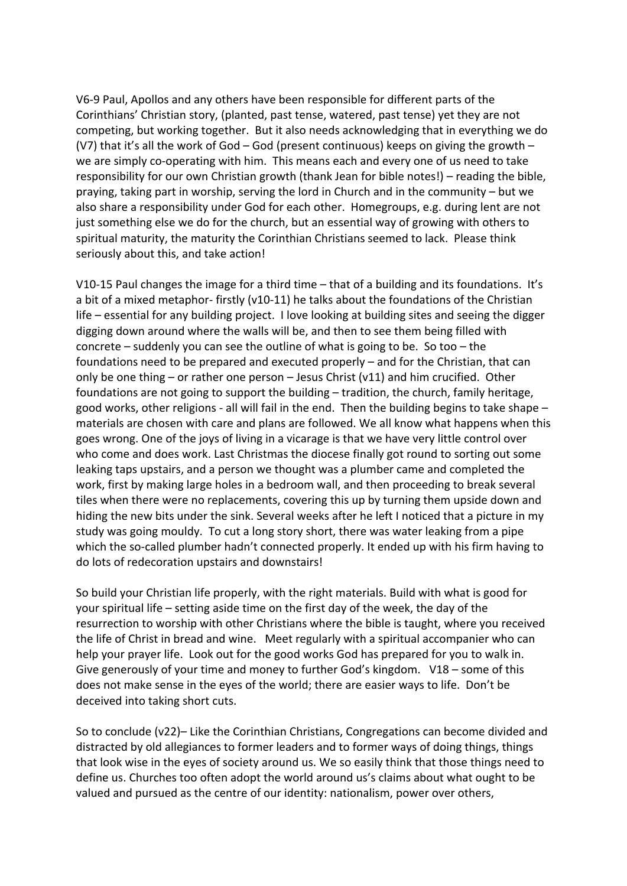V6-9 Paul, Apollos and any others have been responsible for different parts of the Corinthians' Christian story, (planted, past tense, watered, past tense) yet they are not competing, but working together. But it also needs acknowledging that in everything we do (V7) that it's all the work of God – God (present continuous) keeps on giving the growth – we are simply co-operating with him. This means each and every one of us need to take responsibility for our own Christian growth (thank Jean for bible notes!) – reading the bible, praying, taking part in worship, serving the lord in Church and in the community – but we also share a responsibility under God for each other. Homegroups, e.g. during lent are not just something else we do for the church, but an essential way of growing with others to spiritual maturity, the maturity the Corinthian Christians seemed to lack. Please think seriously about this, and take action!

V10-15 Paul changes the image for a third time – that of a building and its foundations. It's a bit of a mixed metaphor- firstly (v10-11) he talks about the foundations of the Christian life – essential for any building project. I love looking at building sites and seeing the digger digging down around where the walls will be, and then to see them being filled with concrete – suddenly you can see the outline of what is going to be. So too – the foundations need to be prepared and executed properly – and for the Christian, that can only be one thing – or rather one person – Jesus Christ (v11) and him crucified. Other foundations are not going to support the building – tradition, the church, family heritage, good works, other religions - all will fail in the end. Then the building begins to take shape – materials are chosen with care and plans are followed. We all know what happens when this goes wrong. One of the joys of living in a vicarage is that we have very little control over who come and does work. Last Christmas the diocese finally got round to sorting out some leaking taps upstairs, and a person we thought was a plumber came and completed the work, first by making large holes in a bedroom wall, and then proceeding to break several tiles when there were no replacements, covering this up by turning them upside down and hiding the new bits under the sink. Several weeks after he left I noticed that a picture in my study was going mouldy. To cut a long story short, there was water leaking from a pipe which the so-called plumber hadn't connected properly. It ended up with his firm having to do lots of redecoration upstairs and downstairs!

So build your Christian life properly, with the right materials. Build with what is good for your spiritual life – setting aside time on the first day of the week, the day of the resurrection to worship with other Christians where the bible is taught, where you received the life of Christ in bread and wine. Meet regularly with a spiritual accompanier who can help your prayer life. Look out for the good works God has prepared for you to walk in. Give generously of your time and money to further God's kingdom. V18 – some of this does not make sense in the eyes of the world; there are easier ways to life. Don't be deceived into taking short cuts.

So to conclude (v22)– Like the Corinthian Christians, Congregations can become divided and distracted by old allegiances to former leaders and to former ways of doing things, things that look wise in the eyes of society around us. We so easily think that those things need to define us. Churches too often adopt the world around us's claims about what ought to be valued and pursued as the centre of our identity: nationalism, power over others,